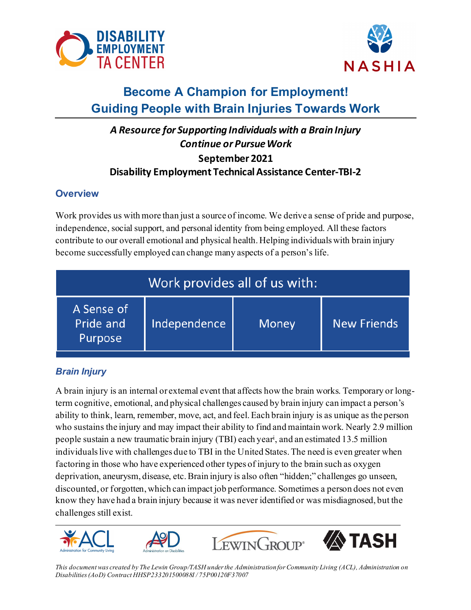



# **Become A Champion for Employment! Guiding People with Brain Injuries Towards Work**

## *A Resource for Supporting Individuals with a Brain Injury Continue or Pursue Work* **September 2021 Disability Employment Technical Assistance Center-TBI-2**

### **Overview**

Work provides us with more than just a source of income. We derive a sense of pride and purpose, independence, social support, and personal identity from being employed. All these factors contribute to our overall emotional and physical health. Helping individuals with brain injury become successfully employed can change many aspects of a person's life.

| Work provides all of us with:      |              |       |                    |
|------------------------------------|--------------|-------|--------------------|
| A Sense of<br>Pride and<br>Purpose | Independence | Money | <b>New Friends</b> |

## *Brain Injury*

people sustain a new traumatic brain injury (TBI) each year<sup>i</sup>, and an estimated 13.5 million A brain injury is an internal or external event that affects how the brain works. Temporary or longterm cognitive, emotional, and physical challenges caused by brain injury can impact a person's ability to think, learn, remember, move, act, and feel. Each brain injury is as unique as the person who sustains the injury and may impact their ability to find and maintain work. Nearly 2.9 million individuals live with challenges due to TBI in the United States. The need is even greater when factoring in those who have experienced other types of injury to the brain such as oxygen deprivation, aneurysm, disease, etc. Brain injury is also often "hidden;" challenges go unseen, discounted, or forgotten, which can impact job performance. Sometimes a person does not even know they have had a brain injury because it was never identified or was misdiagnosed, but the challenges still exist.









*This document was created by The Lewin Group/TASH under the Administration for Community Living (ACL), Administration on Disabilities (AoD) Contract HHSP233201500088I / 75P00120F37007*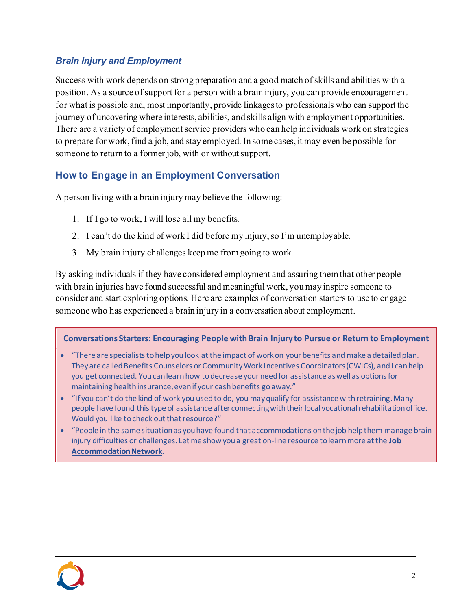### *Brain Injury and Employment*

Success with work depends on strong preparation and a good match of skills and abilities with a position. As a source of support for a person with a brain injury, you can provide encouragement for what is possible and, most importantly, provide linkages to professionals who can support the journey of uncovering where interests, abilities, and skills align with employment opportunities. There are a variety of employment service providers who can help individuals work on strategies to prepare for work, find a job, and stay employed. In some cases, it may even be possible for someone to return to a former job, with or without support.

## **How to Engage in an Employment Conversation**

A person living with a brain injury may believe the following:

- 1. If I go to work, I will lose all my benefits.
- 2. I can't do the kind of work I did before my injury, so I'm unemployable.
- 3. My brain injury challenges keep me from going to work.

By asking individuals if they have considered employment and assuring them that other people with brain injuries have found successful and meaningful work, you may inspire someone to consider and start exploring options. Here are examples of conversation starters to use to engage someone who has experienced a brain injury in a conversation about employment.

#### **Conversations Starters: Encouraging People with Brain Injury to Pursue or Return to Employment**

- · "There are specialists to help you look at the impact of work on your benefits and make a detailed plan. They are called Benefits Counselors or Community Work Incentives Coordinators (CWICs), and I can help you get connected. You can learn how to decrease your need for assistance as well as options for maintaining health insurance, even if your cash benefits go away."
- · "If you can't do the kind of work you used to do, you may qualify for assistance with retraining. Many people have found this type of assistance after connecting with their local vocational rehabilitation office. Would you like to check out that resource?"
- · "People in the same situation as you have found that accommodations on the job help them manage brain injury difficulties or challenges. Let me show you a great on-line resource to learn more at the **[Job](http://www.askjan.com/)  [Accommodation Network](http://www.askjan.com/)**.

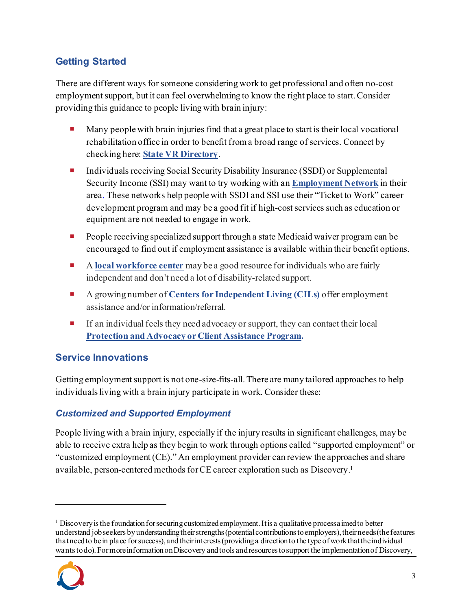## **Getting Started**

There are different ways for someone considering work to get professional and often no-cost employment support, but it can feel overwhelming to know the right place to start. Consider providing this guidance to people living with brain injury:

- **Many people with brain injuries find that a great place to start is their local vocational** rehabilitation office in order to benefit from a broad range of services. Connect by checking here: **[State VR Directory](https://rsa.ed.gov/about/states)**.
- ¡ Individuals receiving Social Security Disability Insurance (SSDI) or Supplemental Security Income (SSI) may want to try working with an **[Employment Network](https://choosework.ssa.gov/findhelp/index.html)** in their area. These networks help people with SSDI and SSI use their "Ticket to Work" career development program and may be a good fit if high-cost services such as education or equipment are not needed to engage in work.
- People receiving specialized support through a state Medicaid waiver program can be encouraged to find out if employment assistance is available within their benefit options.
- ¡ A **[local workforce center](https://www.careeronestop.org/LocalHelp/local-help.aspx)** may be a good resource for individuals who are fairly independent and don't need a lot of disability-related support.
- ¡ A growing number of **[Centers for Independent Living \(CILs\)](https://www.ilru.org/projects/cil-net/cil-center-and-association-directory)** offer employment assistance and/or information/referral.
- $\blacksquare$  If an individual feels they need advocacy or support, they can contact their local **[Protection and Advocacy or Client Assistance Program](https://www.ndrn.org/about/ndrn-member-agencies/).**

## **Service Innovations**

Getting employment support is not one-size-fits-all. There are many tailored approaches to help individuals living with a brain injury participate in work. Consider these:

## *Customized and Supported Employment*

People living with a brain injury, especially if the injury results in significant challenges, may be able to receive extra help as they begin to work through options called "supported employment" or "customized employment (CE)." An employment provider can review the approaches and share available, person-centered methods for CE career exploration such as Discovery.[1](#page-2-0)

<span id="page-2-0"></span> $1$  Discovery is the foundation for securing customized employment. It is a qualitative process aimed to better understand job seekers by understanding their strengths (potential contributions to employers), their needs (the features that need to be in place for success), and their interests (providing a direction to the type of work that the individual wants to do). For more information on Discovery and tools and resources to support the implementation of Discovery,

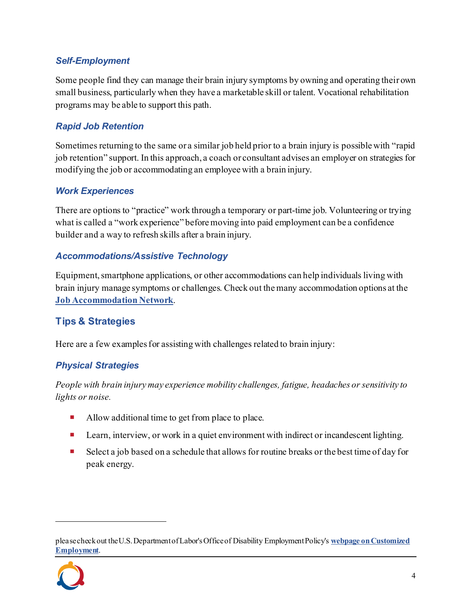#### *Self-Employment*

Some people find they can manage their brain injury symptoms by owning and operating their own small business, particularly when they have a marketable skill or talent. Vocational rehabilitation programs may be able to support this path.

#### *Rapid Job Retention*

Sometimes returning to the same or a similar job held prior to a brain injury is possible with "rapid job retention" support. In this approach, a coach or consultant advises an employer on strategies for modifying the job or accommodating an employee with a brain injury.

#### *Work Experiences*

There are options to "practice" work through a temporary or part-time job. Volunteering or trying what is called a "work experience" before moving into paid employment can be a confidence builder and a way to refresh skills after a brain injury.

#### *Accommodations/Assistive Technology*

Equipment, smartphone applications, or other accommodations can help individuals living with brain injury manage symptoms or challenges. Check out the many accommodation options at the **[Job Accommodation Network](http://www.askjan.org/)**.

## **Tips & Strategies**

Here are a few examples for assisting with challenges related to brain injury:

#### *Physical Strategies*

*People with brain injury may experience mobility challenges, fatigue, headaches or sensitivity to lights or noise.*

- Allow additional time to get from place to place.
- Learn, interview, or work in a quiet environment with indirect or incandescent lighting.
- Select a job based on a schedule that allows for routine breaks or the best time of day for peak energy.

please check out the U.S. Department of Labor's Office of Disability Employment Policy's **webpage on Customized Employment**.

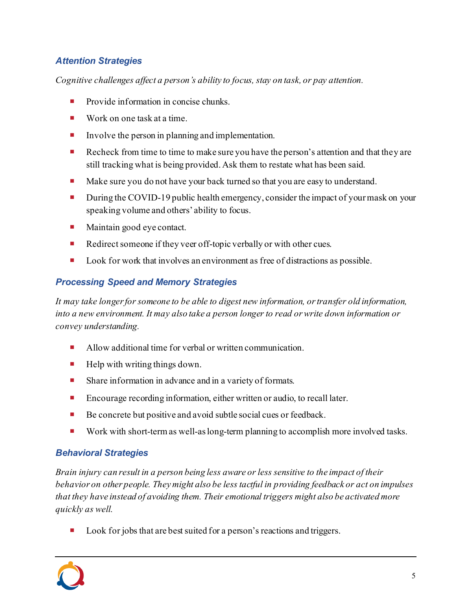#### *Attention Strategies*

*Cognitive challenges affect a person's ability to focus, stay on task, or pay attention.*

- Provide information in concise chunks.
- $\blacksquare$  Work on one task at a time.
- Involve the person in planning and implementation.
- Recheck from time to time to make sure you have the person's attention and that they are still tracking what is being provided. Ask them to restate what has been said.
- Make sure you do not have your back turned so that you are easy to understand.
- During the COVID-19 public health emergency, consider the impact of your mask on your speaking volume and others' ability to focus.
- Maintain good eye contact.
- Redirect someone if they veer off-topic verbally or with other cues.
- Look for work that involves an environment as free of distractions as possible.

## *Processing Speed and Memory Strategies*

*It may take longer for someone to be able to digest new information, or transfer old information, into a new environment. It may also take a person longer to read or write down information or convey understanding.*

- Allow additional time for verbal or written communication.
- Help with writing things down.
- Share information in advance and in a variety of formats.
- Encourage recording information, either written or audio, to recall later.
- Be concrete but positive and avoid subtle social cues or feedback.
- Work with short-term as well-as long-term planning to accomplish more involved tasks.

#### *Behavioral Strategies*

*Brain injury can result in a person being less aware or less sensitive to the impact of their behavior on other people. They might also be less tactful in providing feedback or act on impulses that they have instead of avoiding them. Their emotional triggers might also be activated more quickly as well.*

Look for jobs that are best suited for a person's reactions and triggers.